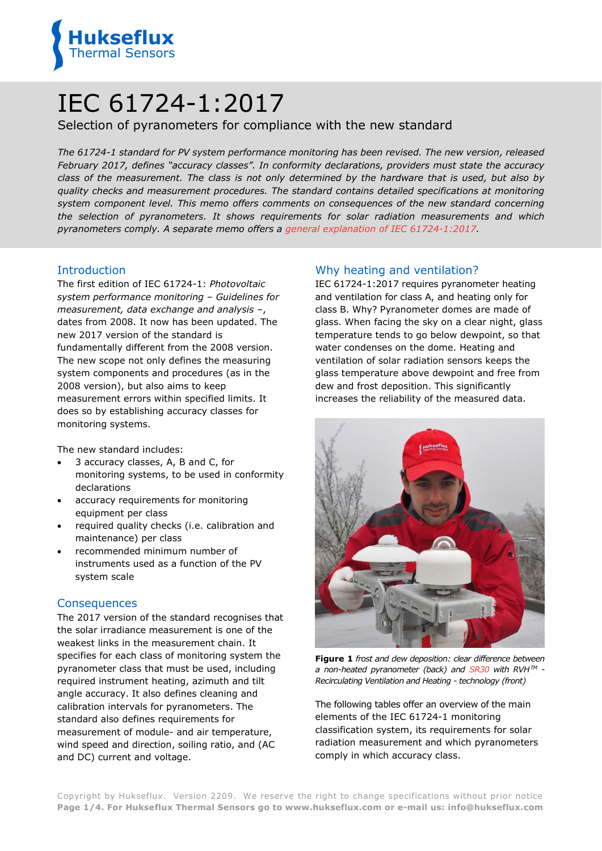

# IEC 61724-1:2017

# Selection of pyranometers for compliance with the new standard

*The 61724-1 standard for PV system performance monitoring has been revised. The new version, released February 2017, defines "accuracy classes". In conformity declarations, providers must state the accuracy class of the measurement. The class is not only determined by the hardware that is used, but also by quality checks and measurement procedures. The standard contains detailed specifications at monitoring system component level. This memo offers comments on consequences of the new standard concerning the selection of pyranometers. It shows requirements for solar radiation measurements and which pyranometers comply. A separate memo offers a [general explanation of](https://www.hukseflux.com/applications/solar-energy-pv-system-performance-monitoring/iec-61724-12017-standard-for-pv) IEC 61724-1:2017.*

#### **Introduction**

The first edition of IEC 61724-1: *Photovoltaic system performance monitoring – Guidelines for measurement, data exchange and analysis –*, dates from 2008. It now has been updated. The new 2017 version of the standard is fundamentally different from the 2008 version. The new scope not only defines the measuring system components and procedures (as in the 2008 version), but also aims to keep measurement errors within specified limits. It does so by establishing accuracy classes for monitoring systems.

The new standard includes:

- 3 accuracy classes, A, B and C, for monitoring systems, to be used in conformity declarations
- accuracy requirements for monitoring equipment per class
- required quality checks (i.e. calibration and maintenance) per class
- recommended minimum number of instruments used as a function of the PV system scale

#### **Consequences**

The 2017 version of the standard recognises that the solar irradiance measurement is one of the weakest links in the measurement chain. It specifies for each class of monitoring system the pyranometer class that must be used, including required instrument heating, azimuth and tilt angle accuracy. It also defines cleaning and calibration intervals for pyranometers. The standard also defines requirements for measurement of module- and air temperature, wind speed and direction, soiling ratio, and (AC and DC) current and voltage.

### Why heating and ventilation?

IEC 61724-1:2017 requires pyranometer heating and ventilation for class A, and heating only for class B. Why? Pyranometer domes are made of glass. When facing the sky on a clear night, glass temperature tends to go below dewpoint, so that water condenses on the dome. Heating and ventilation of solar radiation sensors keeps the glass temperature above dewpoint and free from dew and frost deposition. This significantly increases the reliability of the measured data.



**Figure 1** *frost and dew deposition: clear difference between a non-heated pyranometer (back) and [SR30](http://www.hukseflux.com/product/sr30-pyranometer) with RVHTM - Recirculating Ventilation and Heating - technology (front)*

The following tables offer an overview of the main elements of the IEC 61724-1 monitoring classification system, its requirements for solar radiation measurement and which pyranometers comply in which accuracy class.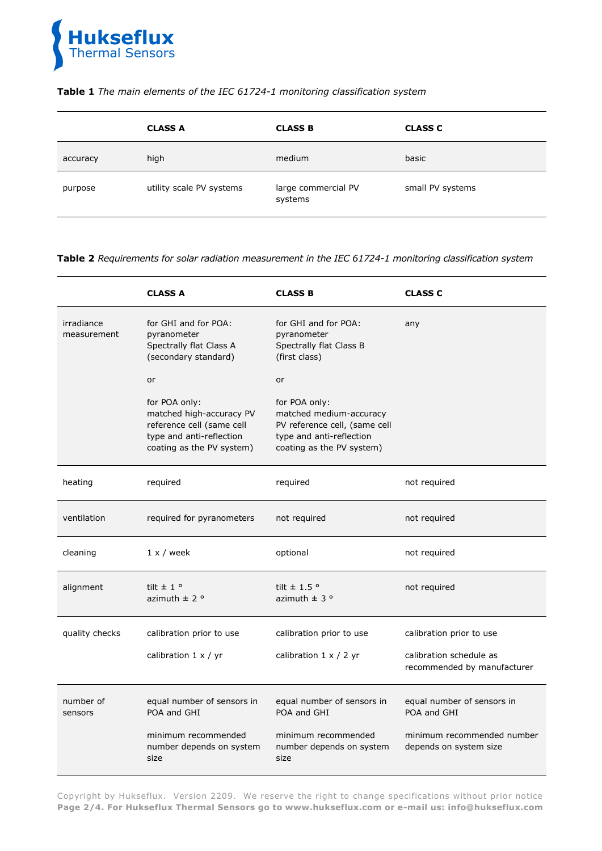

#### **Table 1** *The main elements of the IEC 61724-1 monitoring classification system*

|          | <b>CLASS A</b>           | <b>CLASS B</b>                 | <b>CLASS C</b>   |
|----------|--------------------------|--------------------------------|------------------|
| accuracy | high                     | medium                         | basic            |
| purpose  | utility scale PV systems | large commercial PV<br>systems | small PV systems |

**Table 2** *Requirements for solar radiation measurement in the IEC 61724-1 monitoring classification system*

|                           | <b>CLASS A</b>                                                                                                                  | <b>CLASS B</b>                                                                                                                     | <b>CLASS C</b>                                         |
|---------------------------|---------------------------------------------------------------------------------------------------------------------------------|------------------------------------------------------------------------------------------------------------------------------------|--------------------------------------------------------|
| irradiance<br>measurement | for GHI and for POA:<br>pyranometer<br>Spectrally flat Class A<br>(secondary standard)                                          | for GHI and for POA:<br>pyranometer<br>Spectrally flat Class B<br>(first class)                                                    | any                                                    |
|                           | <b>or</b>                                                                                                                       | or                                                                                                                                 |                                                        |
|                           | for POA only:<br>matched high-accuracy PV<br>reference cell (same cell<br>type and anti-reflection<br>coating as the PV system) | for POA only:<br>matched medium-accuracy<br>PV reference cell, (same cell<br>type and anti-reflection<br>coating as the PV system) |                                                        |
| heating                   | required                                                                                                                        | required                                                                                                                           | not required                                           |
| ventilation               | required for pyranometers                                                                                                       | not required                                                                                                                       | not required                                           |
| cleaning                  | $1 \times /$ week                                                                                                               | optional                                                                                                                           | not required                                           |
| alignment                 | tilt $\pm$ 1 $\circ$<br>azimuth $\pm$ 2 °                                                                                       | tilt $\pm$ 1.5 °<br>azimuth $\pm$ 3 $\circ$                                                                                        | not required                                           |
| quality checks            | calibration prior to use                                                                                                        | calibration prior to use                                                                                                           | calibration prior to use                               |
|                           | calibration $1 \times / yr$                                                                                                     | calibration $1 \times / 2$ yr                                                                                                      | calibration schedule as<br>recommended by manufacturer |
| number of<br>sensors      | equal number of sensors in<br>POA and GHI                                                                                       | equal number of sensors in<br>POA and GHI                                                                                          | equal number of sensors in<br>POA and GHI              |
|                           | minimum recommended<br>number depends on system<br>size                                                                         | minimum recommended<br>number depends on system<br>size                                                                            | minimum recommended number<br>depends on system size   |

Copyright by Hukseflux. Version 2209. We reserve the right to change specifications without prior notice **Page 2/4. For Hukseflux Thermal Sensors go to [www.hukseflux.com](http://www.hukseflux.com/) or e-mail us: [info@hukseflux.com](mailto:info@hukseflux.com?subject=brochure)**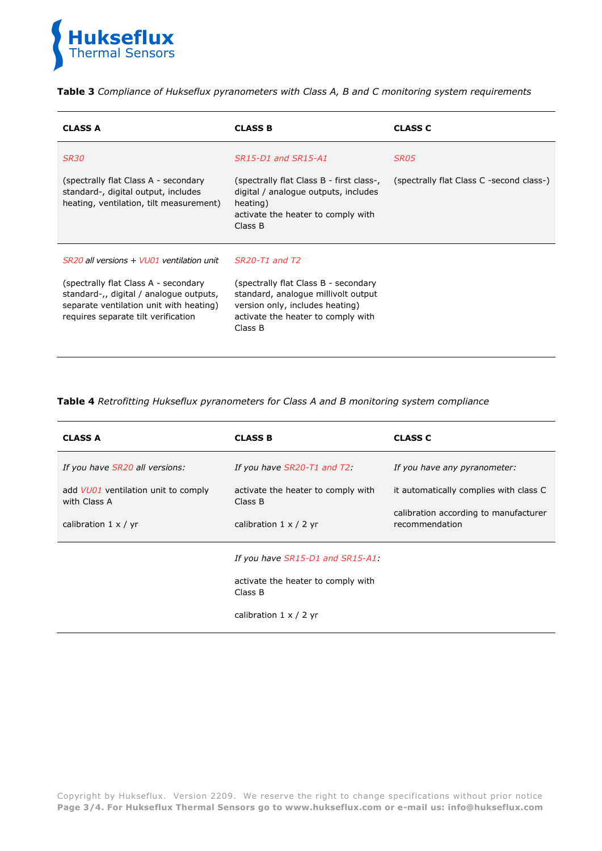

**Table 3** *Compliance of Hukseflux pyranometers with Class A, B and C monitoring system requirements*

| <b>CLASS A</b>                                                                                                                                                    | <b>CLASS B</b>                                                                                                                                                  | <b>CLASS C</b>                           |
|-------------------------------------------------------------------------------------------------------------------------------------------------------------------|-----------------------------------------------------------------------------------------------------------------------------------------------------------------|------------------------------------------|
| <b>SR30</b>                                                                                                                                                       | SR15-D1 and SR15-A1                                                                                                                                             | SR05                                     |
| (spectrally flat Class A - secondary<br>standard-, digital output, includes<br>heating, ventilation, tilt measurement)                                            | (spectrally flat Class B - first class-,<br>digital / analogue outputs, includes<br>heating)<br>activate the heater to comply with<br>Class B                   | (spectrally flat Class C -second class-) |
| SR20 all versions + VU01 ventilation unit                                                                                                                         | SR20-T1 and T2                                                                                                                                                  |                                          |
| (spectrally flat Class A - secondary<br>standard-,, digital / analogue outputs,<br>separate ventilation unit with heating)<br>requires separate tilt verification | (spectrally flat Class B - secondary<br>standard, analogue millivolt output<br>version only, includes heating)<br>activate the heater to comply with<br>Class B |                                          |

#### **Table 4** *Retrofitting Hukseflux pyranometers for Class A and B monitoring system compliance*

| <b>CLASS A</b>                                      | <b>CLASS B</b>                                | <b>CLASS C</b>                                          |  |
|-----------------------------------------------------|-----------------------------------------------|---------------------------------------------------------|--|
| If you have SR20 all versions:                      | If you have $SR20$ -T1 and T2:                | If you have any pyranometer:                            |  |
| add VU01 ventilation unit to comply<br>with Class A | activate the heater to comply with<br>Class B | it automatically complies with class C                  |  |
| calibration $1 \times / \text{yr}$                  | calibration $1 \times / 2$ yr                 | calibration according to manufacturer<br>recommendation |  |
|                                                     | If you have SR15-D1 and SR15-A1:              |                                                         |  |
|                                                     | activate the heater to comply with<br>Class B |                                                         |  |
|                                                     | calibration $1 \times / 2$ yr                 |                                                         |  |